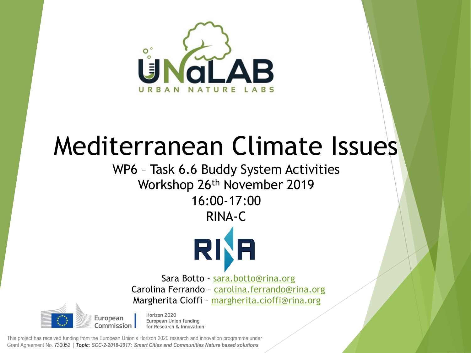

## Mediterranean Climate Issues

## WP6 – Task 6.6 Buddy System Activities Workshop 26th November 2019 16:00-17:00

RINA-C



Sara Botto - [sara.botto@rina.org](mailto:sara.botto@rina.org) Carolina Ferrando - [carolina.ferrando@rina.org](mailto:margherita.cioffi@rina.org) Margherita Cioffi – [margherita.cioffi@rina.org](mailto:margherita.cioffi@rina.org)

Horizon 2020 European Union funding Commission for Research & Innovation

This project has received funding from the European Union's Horizon 2020 research and innovation programme under Grant Agreement No. 730052 | *Topic: SCC-2-2016-2017: Smart Cities and Communities Nature based solutions*

European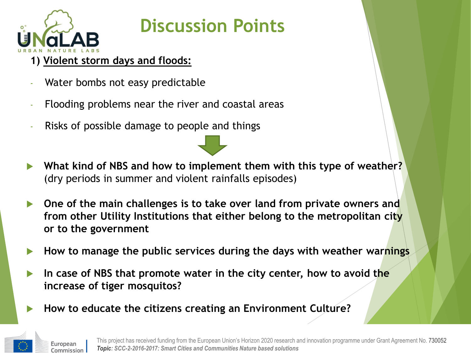

## **Discussion Points**

- **1) Violent storm days and floods:**
- Water bombs not easy predictable
- Flooding problems near the river and coastal areas
- Risks of possible damage to people and things
- **What kind of NBS and how to implement them with this type of weather?**  (dry periods in summer and violent rainfalls episodes)
- **One of the main challenges is to take over land from private owners and from other Utility Institutions that either belong to the metropolitan city or to the government**
- **How to manage the public services during the days with weather warnings**
- **In case of NBS that promote water in the city center, how to avoid the increase of tiger mosquitos?**
- **How to educate the citizens creating an Environment Culture?**

European Commission